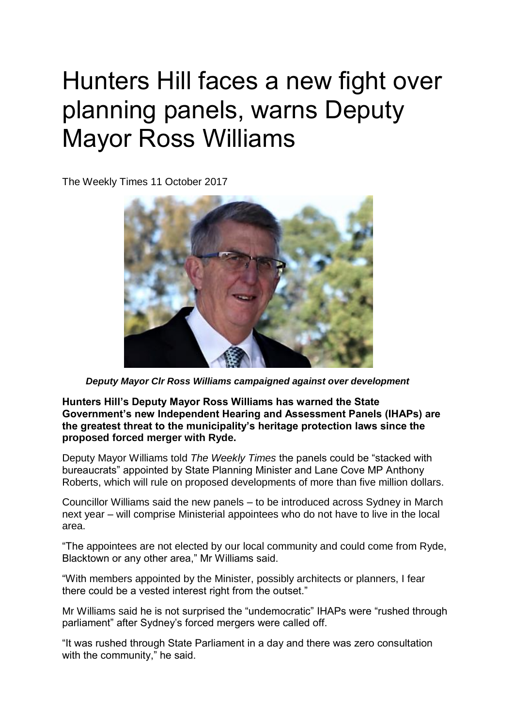## Hunters Hill faces a new fight over planning panels, warns Deputy Mayor Ross Williams

The Weekly Times 11 October 2017



 *Deputy Mayor Clr Ross Williams campaigned against over development*

**Hunters Hill's Deputy Mayor Ross Williams has warned the State Government's new Independent Hearing and Assessment Panels (IHAPs) are the greatest threat to the municipality's heritage protection laws since the proposed forced merger with Ryde.**

Deputy Mayor Williams told *The Weekly Times* the panels could be "stacked with bureaucrats" appointed by State Planning Minister and Lane Cove MP Anthony Roberts, which will rule on proposed developments of more than five million dollars.

Councillor Williams said the new panels – to be introduced across Sydney in March next year – will comprise Ministerial appointees who do not have to live in the local area.

"The appointees are not elected by our local community and could come from Ryde, Blacktown or any other area," Mr Williams said.

"With members appointed by the Minister, possibly architects or planners, I fear there could be a vested interest right from the outset."

Mr Williams said he is not surprised the "undemocratic" IHAPs were "rushed through parliament" after Sydney's forced mergers were called off.

"It was rushed through State Parliament in a day and there was zero consultation with the community," he said.